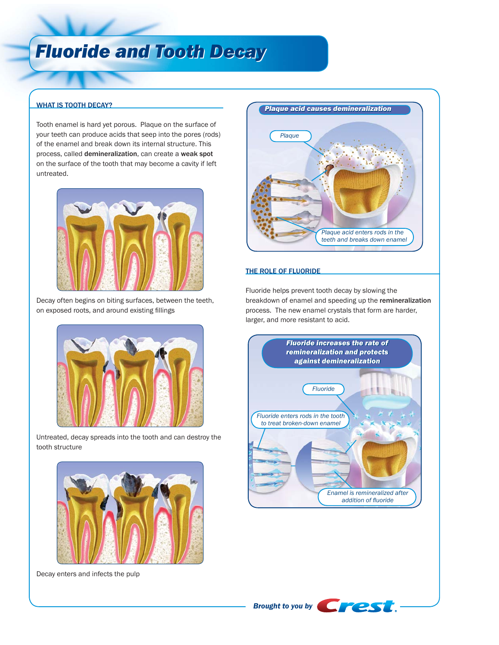# *Fluoride and Tooth Decay Fluoride and Tooth Decay*

### WHAT IS TOOTH DECAY?

Tooth enamel is hard yet porous. Plaque on the surface of your teeth can produce acids that seep into the pores (rods) of the enamel and break down its internal structure. This process, called demineralization, can create a weak spot on the surface of the tooth that may become a cavity if left untreated.



Decay often begins on biting surfaces, between the teeth, on exposed roots, and around existing fillings



Untreated, decay spreads into the tooth and can destroy the tooth structure



Decay enters and infects the pulp



#### THE ROLE OF FLUORIDE

Fluoride helps prevent tooth decay by slowing the breakdown of enamel and speeding up the remineralization process. The new enamel crystals that form are harder, larger, and more resistant to acid.